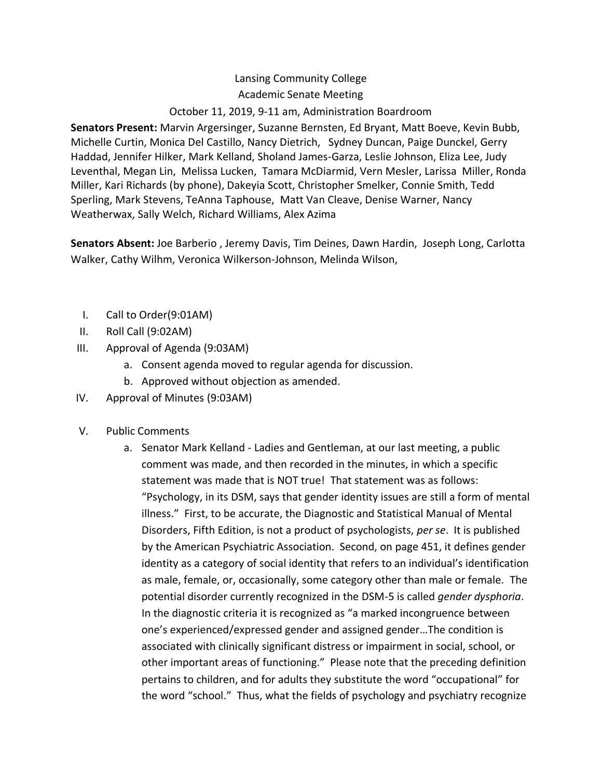## Lansing Community College Academic Senate Meeting October 11, 2019, 9-11 am, Administration Boardroom

**Senators Present:** Marvin Argersinger, Suzanne Bernsten, Ed Bryant, Matt Boeve, Kevin Bubb, Michelle Curtin, Monica Del Castillo, Nancy Dietrich, Sydney Duncan, Paige Dunckel, Gerry Haddad, Jennifer Hilker, Mark Kelland, Sholand James-Garza, Leslie Johnson, Eliza Lee, Judy Leventhal, Megan Lin, Melissa Lucken, Tamara McDiarmid, Vern Mesler, Larissa Miller, Ronda Miller, Kari Richards (by phone), Dakeyia Scott, Christopher Smelker, Connie Smith, Tedd Sperling, Mark Stevens, TeAnna Taphouse, Matt Van Cleave, Denise Warner, Nancy Weatherwax, Sally Welch, Richard Williams, Alex Azima

**Senators Absent:** Joe Barberio , Jeremy Davis, Tim Deines, Dawn Hardin, Joseph Long, Carlotta Walker, Cathy Wilhm, Veronica Wilkerson-Johnson, Melinda Wilson,

- I. Call to Order(9:01AM)
- II. Roll Call (9:02AM)
- III. Approval of Agenda (9:03AM)
	- a. Consent agenda moved to regular agenda for discussion.
	- b. Approved without objection as amended.
- IV. Approval of Minutes (9:03AM)
- V. Public Comments
	- a. Senator Mark Kelland Ladies and Gentleman, at our last meeting, a public comment was made, and then recorded in the minutes, in which a specific statement was made that is NOT true! That statement was as follows: "Psychology, in its DSM, says that gender identity issues are still a form of mental illness." First, to be accurate, the Diagnostic and Statistical Manual of Mental Disorders, Fifth Edition, is not a product of psychologists, *per se*. It is published by the American Psychiatric Association. Second, on page 451, it defines gender identity as a category of social identity that refers to an individual's identification as male, female, or, occasionally, some category other than male or female. The potential disorder currently recognized in the DSM-5 is called *gender dysphoria*. In the diagnostic criteria it is recognized as "a marked incongruence between one's experienced/expressed gender and assigned gender…The condition is associated with clinically significant distress or impairment in social, school, or other important areas of functioning." Please note that the preceding definition pertains to children, and for adults they substitute the word "occupational" for the word "school." Thus, what the fields of psychology and psychiatry recognize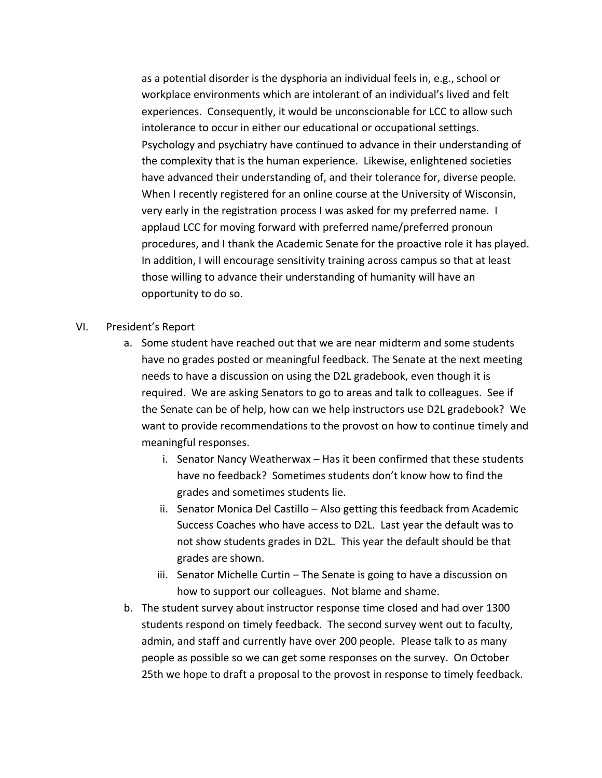as a potential disorder is the dysphoria an individual feels in, e.g., school or workplace environments which are intolerant of an individual's lived and felt experiences. Consequently, it would be unconscionable for LCC to allow such intolerance to occur in either our educational or occupational settings. Psychology and psychiatry have continued to advance in their understanding of the complexity that is the human experience. Likewise, enlightened societies have advanced their understanding of, and their tolerance for, diverse people. When I recently registered for an online course at the University of Wisconsin, very early in the registration process I was asked for my preferred name. I applaud LCC for moving forward with preferred name/preferred pronoun procedures, and I thank the Academic Senate for the proactive role it has played. In addition, I will encourage sensitivity training across campus so that at least those willing to advance their understanding of humanity will have an opportunity to do so.

### VI. President's Report

- a. Some student have reached out that we are near midterm and some students have no grades posted or meaningful feedback. The Senate at the next meeting needs to have a discussion on using the D2L gradebook, even though it is required. We are asking Senators to go to areas and talk to colleagues. See if the Senate can be of help, how can we help instructors use D2L gradebook? We want to provide recommendations to the provost on how to continue timely and meaningful responses.
	- i. Senator Nancy Weatherwax Has it been confirmed that these students have no feedback? Sometimes students don't know how to find the grades and sometimes students lie.
	- ii. Senator Monica Del Castillo Also getting this feedback from Academic Success Coaches who have access to D2L. Last year the default was to not show students grades in D2L. This year the default should be that grades are shown.
	- iii. Senator Michelle Curtin The Senate is going to have a discussion on how to support our colleagues. Not blame and shame.
- b. The student survey about instructor response time closed and had over 1300 students respond on timely feedback. The second survey went out to faculty, admin, and staff and currently have over 200 people. Please talk to as many people as possible so we can get some responses on the survey. On October 25th we hope to draft a proposal to the provost in response to timely feedback.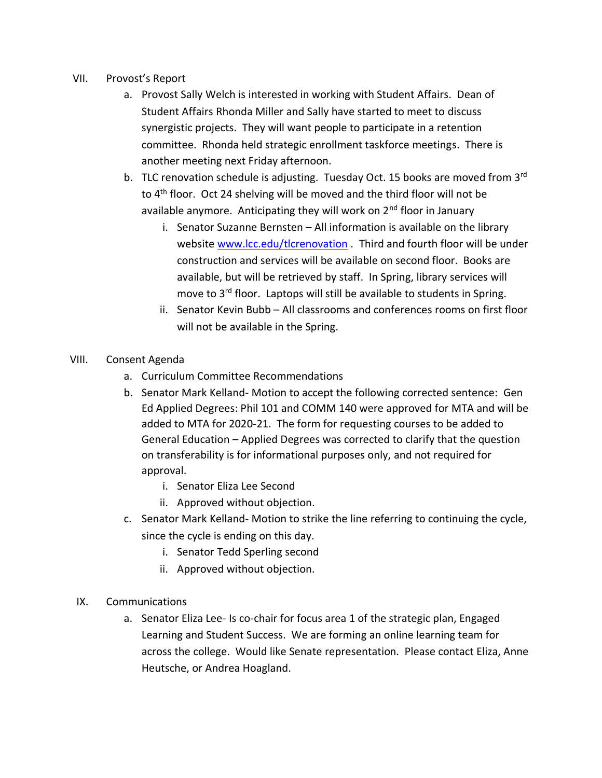- VII. Provost's Report
	- a. Provost Sally Welch is interested in working with Student Affairs. Dean of Student Affairs Rhonda Miller and Sally have started to meet to discuss synergistic projects. They will want people to participate in a retention committee. Rhonda held strategic enrollment taskforce meetings. There is another meeting next Friday afternoon.
	- b. TLC renovation schedule is adjusting. Tuesday Oct. 15 books are moved from 3<sup>rd</sup> to 4<sup>th</sup> floor. Oct 24 shelving will be moved and the third floor will not be available anymore. Anticipating they will work on  $2<sup>nd</sup>$  floor in January
		- i. Senator Suzanne Bernsten All information is available on the library website [www.lcc.edu/tlcrenovation](http://www.lcc.edu/tlcrenovation) . Third and fourth floor will be under construction and services will be available on second floor. Books are available, but will be retrieved by staff. In Spring, library services will move to 3<sup>rd</sup> floor. Laptops will still be available to students in Spring.
		- ii. Senator Kevin Bubb All classrooms and conferences rooms on first floor will not be available in the Spring.
- VIII. Consent Agenda
	- a. Curriculum Committee Recommendations
	- b. Senator Mark Kelland- Motion to accept the following corrected sentence: Gen Ed Applied Degrees: Phil 101 and COMM 140 were approved for MTA and will be added to MTA for 2020-21. The form for requesting courses to be added to General Education – Applied Degrees was corrected to clarify that the question on transferability is for informational purposes only, and not required for approval.
		- i. Senator Eliza Lee Second
		- ii. Approved without objection.
	- c. Senator Mark Kelland- Motion to strike the line referring to continuing the cycle, since the cycle is ending on this day.
		- i. Senator Tedd Sperling second
		- ii. Approved without objection.
	- IX. Communications
		- a. Senator Eliza Lee- Is co-chair for focus area 1 of the strategic plan, Engaged Learning and Student Success. We are forming an online learning team for across the college. Would like Senate representation. Please contact Eliza, Anne Heutsche, or Andrea Hoagland.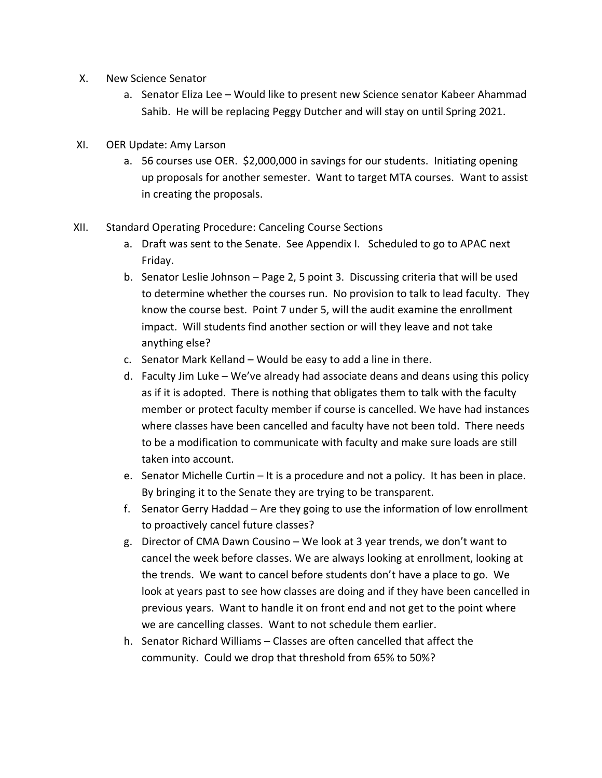- X. New Science Senator
	- a. Senator Eliza Lee Would like to present new Science senator Kabeer Ahammad Sahib. He will be replacing Peggy Dutcher and will stay on until Spring 2021.
- XI. OER Update: Amy Larson
	- a. 56 courses use OER. \$2,000,000 in savings for our students. Initiating opening up proposals for another semester. Want to target MTA courses. Want to assist in creating the proposals.
- XII. Standard Operating Procedure: Canceling Course Sections
	- a. Draft was sent to the Senate. See Appendix I. Scheduled to go to APAC next Friday.
	- b. Senator Leslie Johnson Page 2, 5 point 3. Discussing criteria that will be used to determine whether the courses run. No provision to talk to lead faculty. They know the course best. Point 7 under 5, will the audit examine the enrollment impact. Will students find another section or will they leave and not take anything else?
	- c. Senator Mark Kelland Would be easy to add a line in there.
	- d. Faculty Jim Luke We've already had associate deans and deans using this policy as if it is adopted. There is nothing that obligates them to talk with the faculty member or protect faculty member if course is cancelled. We have had instances where classes have been cancelled and faculty have not been told. There needs to be a modification to communicate with faculty and make sure loads are still taken into account.
	- e. Senator Michelle Curtin It is a procedure and not a policy. It has been in place. By bringing it to the Senate they are trying to be transparent.
	- f. Senator Gerry Haddad Are they going to use the information of low enrollment to proactively cancel future classes?
	- g. Director of CMA Dawn Cousino We look at 3 year trends, we don't want to cancel the week before classes. We are always looking at enrollment, looking at the trends. We want to cancel before students don't have a place to go. We look at years past to see how classes are doing and if they have been cancelled in previous years. Want to handle it on front end and not get to the point where we are cancelling classes. Want to not schedule them earlier.
	- h. Senator Richard Williams Classes are often cancelled that affect the community. Could we drop that threshold from 65% to 50%?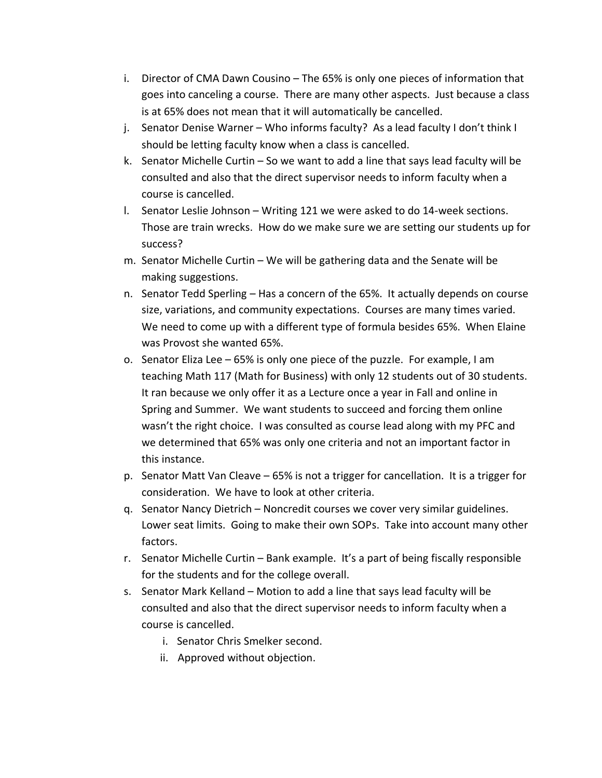- i. Director of CMA Dawn Cousino The 65% is only one pieces of information that goes into canceling a course. There are many other aspects. Just because a class is at 65% does not mean that it will automatically be cancelled.
- j. Senator Denise Warner Who informs faculty? As a lead faculty I don't think I should be letting faculty know when a class is cancelled.
- k. Senator Michelle Curtin So we want to add a line that says lead faculty will be consulted and also that the direct supervisor needs to inform faculty when a course is cancelled.
- l. Senator Leslie Johnson Writing 121 we were asked to do 14-week sections. Those are train wrecks. How do we make sure we are setting our students up for success?
- m. Senator Michelle Curtin We will be gathering data and the Senate will be making suggestions.
- n. Senator Tedd Sperling Has a concern of the 65%. It actually depends on course size, variations, and community expectations. Courses are many times varied. We need to come up with a different type of formula besides 65%. When Elaine was Provost she wanted 65%.
- o. Senator Eliza Lee 65% is only one piece of the puzzle. For example, I am teaching Math 117 (Math for Business) with only 12 students out of 30 students. It ran because we only offer it as a Lecture once a year in Fall and online in Spring and Summer. We want students to succeed and forcing them online wasn't the right choice. I was consulted as course lead along with my PFC and we determined that 65% was only one criteria and not an important factor in this instance.
- p. Senator Matt Van Cleave 65% is not a trigger for cancellation. It is a trigger for consideration. We have to look at other criteria.
- q. Senator Nancy Dietrich Noncredit courses we cover very similar guidelines. Lower seat limits. Going to make their own SOPs. Take into account many other factors.
- r. Senator Michelle Curtin Bank example. It's a part of being fiscally responsible for the students and for the college overall.
- s. Senator Mark Kelland Motion to add a line that says lead faculty will be consulted and also that the direct supervisor needs to inform faculty when a course is cancelled.
	- i. Senator Chris Smelker second.
	- ii. Approved without objection.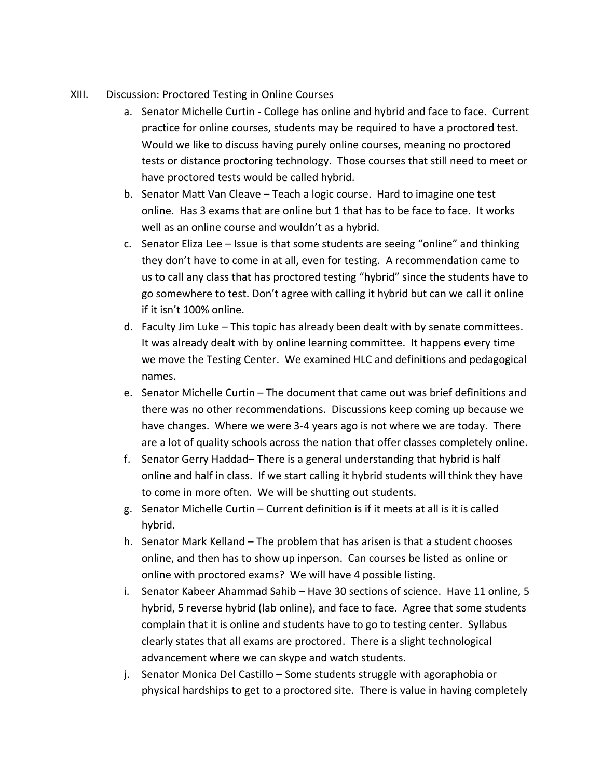- XIII. Discussion: Proctored Testing in Online Courses
	- a. Senator Michelle Curtin College has online and hybrid and face to face. Current practice for online courses, students may be required to have a proctored test. Would we like to discuss having purely online courses, meaning no proctored tests or distance proctoring technology. Those courses that still need to meet or have proctored tests would be called hybrid.
	- b. Senator Matt Van Cleave Teach a logic course. Hard to imagine one test online. Has 3 exams that are online but 1 that has to be face to face. It works well as an online course and wouldn't as a hybrid.
	- c. Senator Eliza Lee Issue is that some students are seeing "online" and thinking they don't have to come in at all, even for testing. A recommendation came to us to call any class that has proctored testing "hybrid" since the students have to go somewhere to test. Don't agree with calling it hybrid but can we call it online if it isn't 100% online.
	- d. Faculty Jim Luke This topic has already been dealt with by senate committees. It was already dealt with by online learning committee. It happens every time we move the Testing Center. We examined HLC and definitions and pedagogical names.
	- e. Senator Michelle Curtin The document that came out was brief definitions and there was no other recommendations. Discussions keep coming up because we have changes. Where we were 3-4 years ago is not where we are today. There are a lot of quality schools across the nation that offer classes completely online.
	- f. Senator Gerry Haddad– There is a general understanding that hybrid is half online and half in class. If we start calling it hybrid students will think they have to come in more often. We will be shutting out students.
	- g. Senator Michelle Curtin Current definition is if it meets at all is it is called hybrid.
	- h. Senator Mark Kelland The problem that has arisen is that a student chooses online, and then has to show up inperson. Can courses be listed as online or online with proctored exams? We will have 4 possible listing.
	- i. Senator Kabeer Ahammad Sahib Have 30 sections of science. Have 11 online, 5 hybrid, 5 reverse hybrid (lab online), and face to face. Agree that some students complain that it is online and students have to go to testing center. Syllabus clearly states that all exams are proctored. There is a slight technological advancement where we can skype and watch students.
	- j. Senator Monica Del Castillo Some students struggle with agoraphobia or physical hardships to get to a proctored site. There is value in having completely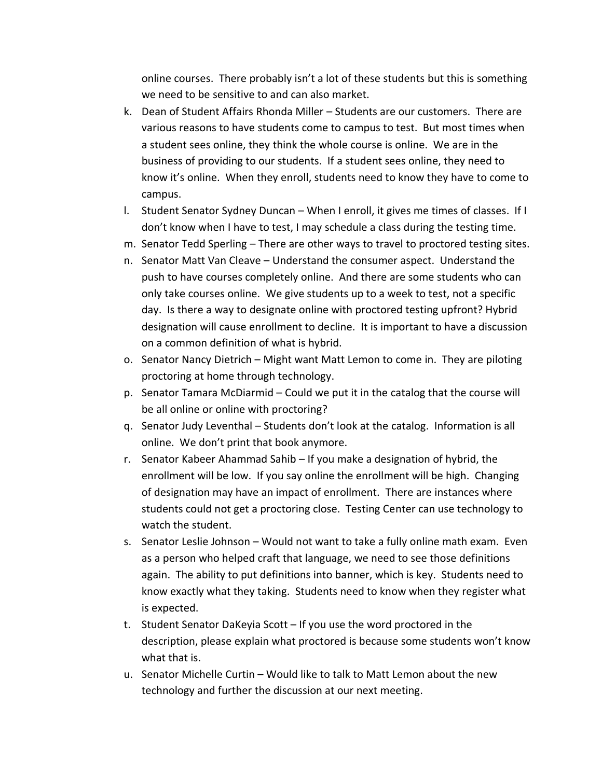online courses. There probably isn't a lot of these students but this is something we need to be sensitive to and can also market.

- k. Dean of Student Affairs Rhonda Miller Students are our customers. There are various reasons to have students come to campus to test. But most times when a student sees online, they think the whole course is online. We are in the business of providing to our students. If a student sees online, they need to know it's online. When they enroll, students need to know they have to come to campus.
- l. Student Senator Sydney Duncan When I enroll, it gives me times of classes. If I don't know when I have to test, I may schedule a class during the testing time.
- m. Senator Tedd Sperling There are other ways to travel to proctored testing sites.
- n. Senator Matt Van Cleave Understand the consumer aspect. Understand the push to have courses completely online. And there are some students who can only take courses online. We give students up to a week to test, not a specific day. Is there a way to designate online with proctored testing upfront? Hybrid designation will cause enrollment to decline. It is important to have a discussion on a common definition of what is hybrid.
- o. Senator Nancy Dietrich Might want Matt Lemon to come in. They are piloting proctoring at home through technology.
- p. Senator Tamara McDiarmid Could we put it in the catalog that the course will be all online or online with proctoring?
- q. Senator Judy Leventhal Students don't look at the catalog. Information is all online. We don't print that book anymore.
- r. Senator Kabeer Ahammad Sahib If you make a designation of hybrid, the enrollment will be low. If you say online the enrollment will be high. Changing of designation may have an impact of enrollment. There are instances where students could not get a proctoring close. Testing Center can use technology to watch the student.
- s. Senator Leslie Johnson Would not want to take a fully online math exam. Even as a person who helped craft that language, we need to see those definitions again. The ability to put definitions into banner, which is key. Students need to know exactly what they taking. Students need to know when they register what is expected.
- t. Student Senator DaKeyia Scott If you use the word proctored in the description, please explain what proctored is because some students won't know what that is.
- u. Senator Michelle Curtin Would like to talk to Matt Lemon about the new technology and further the discussion at our next meeting.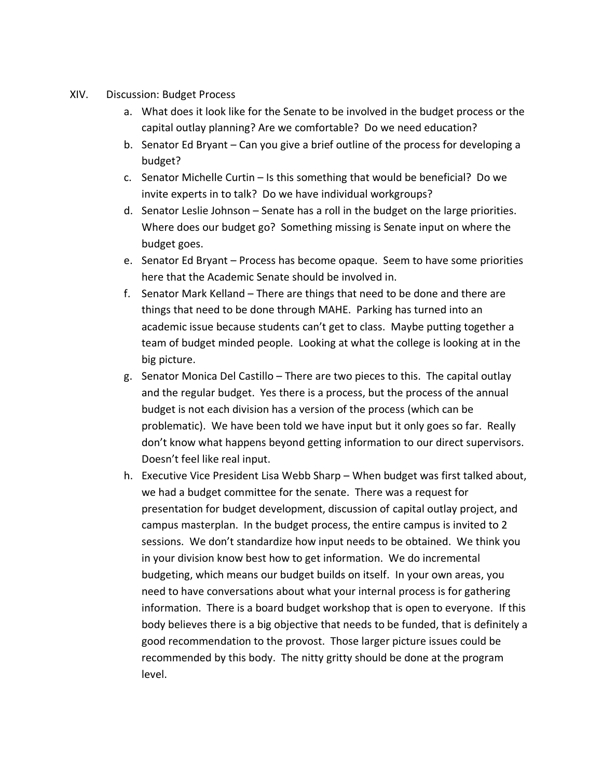- XIV. Discussion: Budget Process
	- a. What does it look like for the Senate to be involved in the budget process or the capital outlay planning? Are we comfortable? Do we need education?
	- b. Senator Ed Bryant Can you give a brief outline of the process for developing a budget?
	- c. Senator Michelle Curtin Is this something that would be beneficial? Do we invite experts in to talk? Do we have individual workgroups?
	- d. Senator Leslie Johnson Senate has a roll in the budget on the large priorities. Where does our budget go? Something missing is Senate input on where the budget goes.
	- e. Senator Ed Bryant Process has become opaque. Seem to have some priorities here that the Academic Senate should be involved in.
	- f. Senator Mark Kelland There are things that need to be done and there are things that need to be done through MAHE. Parking has turned into an academic issue because students can't get to class. Maybe putting together a team of budget minded people. Looking at what the college is looking at in the big picture.
	- g. Senator Monica Del Castillo There are two pieces to this. The capital outlay and the regular budget. Yes there is a process, but the process of the annual budget is not each division has a version of the process (which can be problematic). We have been told we have input but it only goes so far. Really don't know what happens beyond getting information to our direct supervisors. Doesn't feel like real input.
	- h. Executive Vice President Lisa Webb Sharp When budget was first talked about, we had a budget committee for the senate. There was a request for presentation for budget development, discussion of capital outlay project, and campus masterplan. In the budget process, the entire campus is invited to 2 sessions. We don't standardize how input needs to be obtained. We think you in your division know best how to get information. We do incremental budgeting, which means our budget builds on itself. In your own areas, you need to have conversations about what your internal process is for gathering information. There is a board budget workshop that is open to everyone. If this body believes there is a big objective that needs to be funded, that is definitely a good recommendation to the provost. Those larger picture issues could be recommended by this body. The nitty gritty should be done at the program level.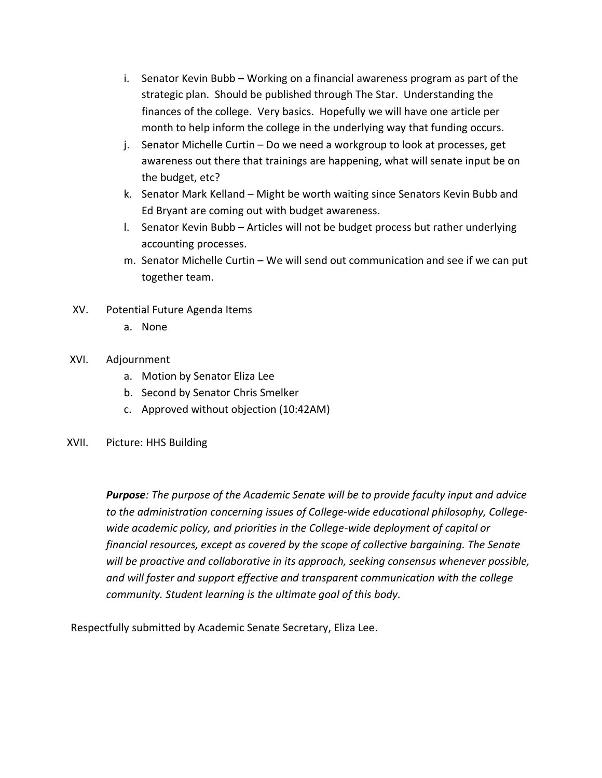- i. Senator Kevin Bubb Working on a financial awareness program as part of the strategic plan. Should be published through The Star. Understanding the finances of the college. Very basics. Hopefully we will have one article per month to help inform the college in the underlying way that funding occurs.
- j. Senator Michelle Curtin Do we need a workgroup to look at processes, get awareness out there that trainings are happening, what will senate input be on the budget, etc?
- k. Senator Mark Kelland Might be worth waiting since Senators Kevin Bubb and Ed Bryant are coming out with budget awareness.
- l. Senator Kevin Bubb Articles will not be budget process but rather underlying accounting processes.
- m. Senator Michelle Curtin We will send out communication and see if we can put together team.
- XV. Potential Future Agenda Items
	- a. None

### XVI. Adjournment

- a. Motion by Senator Eliza Lee
- b. Second by Senator Chris Smelker
- c. Approved without objection (10:42AM)
- XVII. Picture: HHS Building

*Purpose: The purpose of the Academic Senate will be to provide faculty input and advice to the administration concerning issues of College-wide educational philosophy, Collegewide academic policy, and priorities in the College-wide deployment of capital or financial resources, except as covered by the scope of collective bargaining. The Senate will be proactive and collaborative in its approach, seeking consensus whenever possible, and will foster and support effective and transparent communication with the college community. Student learning is the ultimate goal of this body.*

Respectfully submitted by Academic Senate Secretary, Eliza Lee.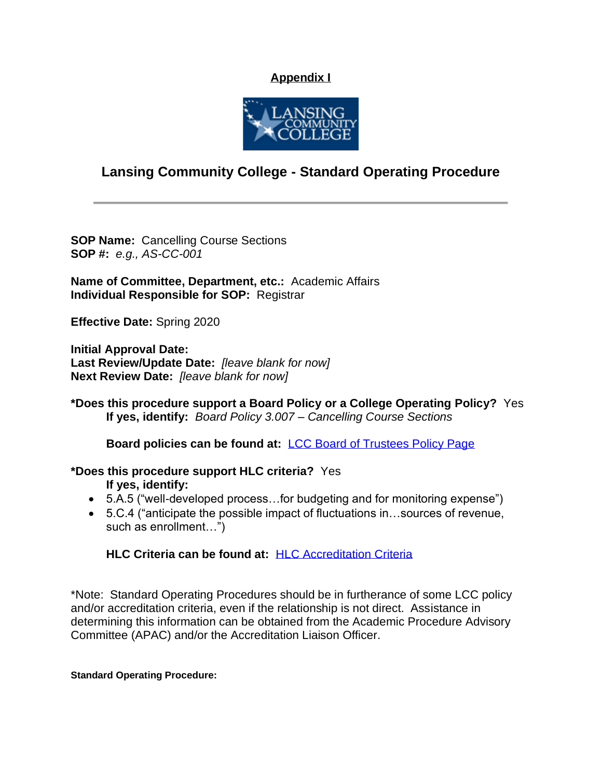### **Appendix I**



# **Lansing Community College - Standard Operating Procedure**

**SOP Name:** Cancelling Course Sections **SOP #:** *e.g., AS-CC-001*

**Name of Committee, Department, etc.:** Academic Affairs **Individual Responsible for SOP:** Registrar

**Effective Date:** Spring 2020

**Initial Approval Date: Last Review/Update Date:** *[leave blank for now]* **Next Review Date:** *[leave blank for now]*

**\*Does this procedure support a Board Policy or a College Operating Policy?** Yes **If yes, identify:** *Board Policy 3.007 – Cancelling Course Sections*

**Board policies can be found at:** [LCC Board of Trustees Policy Page](https://lcc.edu/about/board-of-trustees/policies.html)

- **\*Does this procedure support HLC criteria?** Yes **If yes, identify:**
	- 5.A.5 ("well-developed process...for budgeting and for monitoring expense")
	- 5.C.4 ("anticipate the possible impact of fluctuations in…sources of revenue, such as enrollment…")

### **HLC Criteria can be found at:** [HLC Accreditation Criteria](https://www.hlcommission.org/Policies/criteria-and-core-components.html)

\*Note: Standard Operating Procedures should be in furtherance of some LCC policy and/or accreditation criteria, even if the relationship is not direct. Assistance in determining this information can be obtained from the Academic Procedure Advisory Committee (APAC) and/or the Accreditation Liaison Officer.

### **Standard Operating Procedure:**